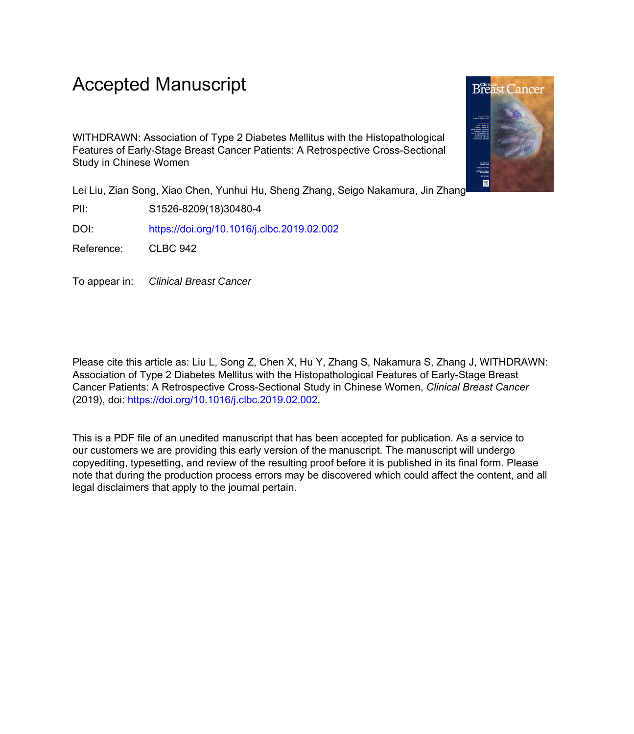## Accepted Manuscript

WITHDRAWN: Association of Type 2 Diabetes Mellitus with the Histopathological Features of Early-Stage Breast Cancer Patients: A Retrospective Cross-Sectional Study in Chinese Women

Lei Liu, Zian Song, Xiao Chen, Yunhui Hu, Sheng Zhang, Seigo Nakamura, Jin Zhang

PII: S1526-8209(18)30480-4

DOI: <https://doi.org/10.1016/j.clbc.2019.02.002>

Reference: CLBC 942

To appear in: Clinical Breast Cancer

Please cite this article as: Liu L, Song Z, Chen X, Hu Y, Zhang S, Nakamura S, Zhang J, WITHDRAWN: Association of Type 2 Diabetes Mellitus with the Histopathological Features of Early-Stage Breast Cancer Patients: A Retrospective Cross-Sectional Study in Chinese Women, *Clinical Breast Cancer* (2019), doi: [https://doi.org/10.1016/j.clbc.2019.02.002.](https://doi.org/10.1016/j.clbc.2019.02.002)

This is a PDF file of an unedited manuscript that has been accepted for publication. As a service to our customers we are providing this early version of the manuscript. The manuscript will undergo copyediting, typesetting, and review of the resulting proof before it is published in its final form. Please note that during the production process errors may be discovered which could affect the content, and all legal disclaimers that apply to the journal pertain.